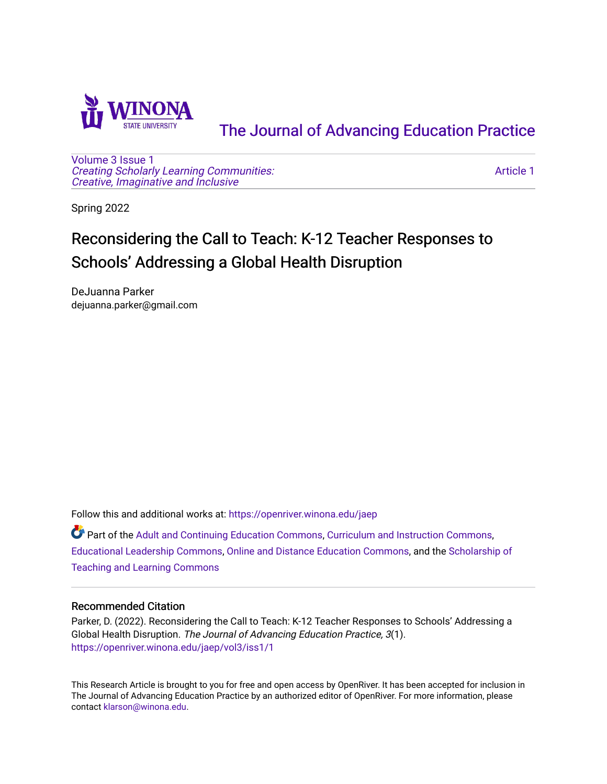

[The Journal of Advancing Education Practice](https://openriver.winona.edu/jaep) 

[Volume 3](https://openriver.winona.edu/jaep/vol3) [Issue 1](https://openriver.winona.edu/jaep/vol3/iss1)  [Creating Scholarly Learning Communities:](https://openriver.winona.edu/jaep/vol3/iss1)  [Creative, Imaginative and Inclusive](https://openriver.winona.edu/jaep/vol3/iss1)

[Article 1](https://openriver.winona.edu/jaep/vol3/iss1/1) 

Spring 2022

# Reconsidering the Call to Teach: K-12 Teacher Responses to Schools' Addressing a Global Health Disruption

DeJuanna Parker dejuanna.parker@gmail.com

Follow this and additional works at: [https://openriver.winona.edu/jaep](https://openriver.winona.edu/jaep?utm_source=openriver.winona.edu%2Fjaep%2Fvol3%2Fiss1%2F1&utm_medium=PDF&utm_campaign=PDFCoverPages) 

Part of the [Adult and Continuing Education Commons,](http://network.bepress.com/hgg/discipline/1375?utm_source=openriver.winona.edu%2Fjaep%2Fvol3%2Fiss1%2F1&utm_medium=PDF&utm_campaign=PDFCoverPages) [Curriculum and Instruction Commons,](http://network.bepress.com/hgg/discipline/786?utm_source=openriver.winona.edu%2Fjaep%2Fvol3%2Fiss1%2F1&utm_medium=PDF&utm_campaign=PDFCoverPages) [Educational Leadership Commons](http://network.bepress.com/hgg/discipline/1230?utm_source=openriver.winona.edu%2Fjaep%2Fvol3%2Fiss1%2F1&utm_medium=PDF&utm_campaign=PDFCoverPages), [Online and Distance Education Commons,](http://network.bepress.com/hgg/discipline/1296?utm_source=openriver.winona.edu%2Fjaep%2Fvol3%2Fiss1%2F1&utm_medium=PDF&utm_campaign=PDFCoverPages) and the [Scholarship of](http://network.bepress.com/hgg/discipline/1328?utm_source=openriver.winona.edu%2Fjaep%2Fvol3%2Fiss1%2F1&utm_medium=PDF&utm_campaign=PDFCoverPages)  [Teaching and Learning Commons](http://network.bepress.com/hgg/discipline/1328?utm_source=openriver.winona.edu%2Fjaep%2Fvol3%2Fiss1%2F1&utm_medium=PDF&utm_campaign=PDFCoverPages)

#### Recommended Citation

Parker, D. (2022). Reconsidering the Call to Teach: K-12 Teacher Responses to Schools' Addressing a Global Health Disruption. The Journal of Advancing Education Practice, 3(1). [https://openriver.winona.edu/jaep/vol3/iss1/1](https://openriver.winona.edu/jaep/vol3/iss1/1?utm_source=openriver.winona.edu%2Fjaep%2Fvol3%2Fiss1%2F1&utm_medium=PDF&utm_campaign=PDFCoverPages) 

This Research Article is brought to you for free and open access by OpenRiver. It has been accepted for inclusion in The Journal of Advancing Education Practice by an authorized editor of OpenRiver. For more information, please contact [klarson@winona.edu](mailto:klarson@winona.edu).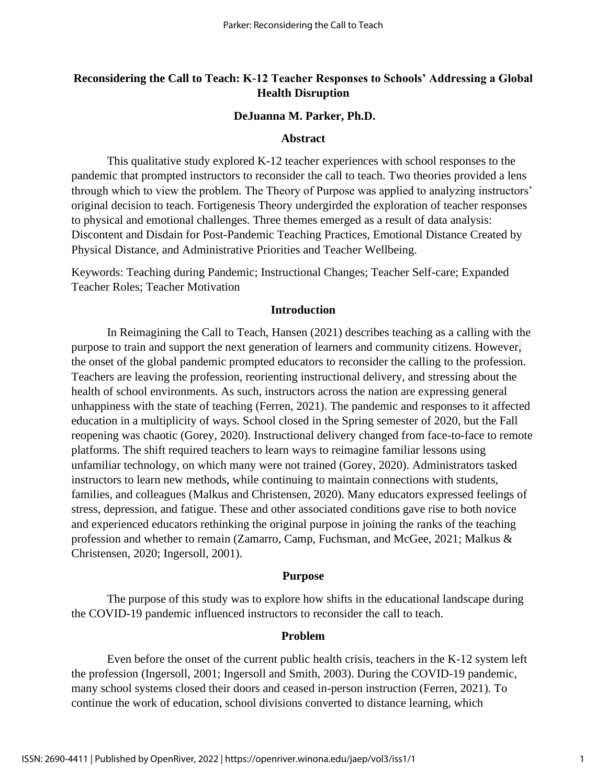# **Reconsidering the Call to Teach: K-12 Teacher Responses to Schools' Addressing a Global Health Disruption**

#### **DeJuanna M. Parker, Ph.D.**

#### **Abstract**

This qualitative study explored K-12 teacher experiences with school responses to the pandemic that prompted instructors to reconsider the call to teach. Two theories provided a lens through which to view the problem. The Theory of Purpose was applied to analyzing instructors' original decision to teach. Fortigenesis Theory undergirded the exploration of teacher responses to physical and emotional challenges. Three themes emerged as a result of data analysis: Discontent and Disdain for Post-Pandemic Teaching Practices, Emotional Distance Created by Physical Distance, and Administrative Priorities and Teacher Wellbeing.

Keywords: Teaching during Pandemic; Instructional Changes; Teacher Self-care; Expanded Teacher Roles; Teacher Motivation

#### **Introduction**

In Reimagining the Call to Teach, Hansen (2021) describes teaching as a calling with the purpose to train and support the next generation of learners and community citizens. However, the onset of the global pandemic prompted educators to reconsider the calling to the profession. Teachers are leaving the profession, reorienting instructional delivery, and stressing about the health of school environments. As such, instructors across the nation are expressing general unhappiness with the state of teaching (Ferren, 2021). The pandemic and responses to it affected education in a multiplicity of ways. School closed in the Spring semester of 2020, but the Fall reopening was chaotic (Gorey, 2020). Instructional delivery changed from face-to-face to remote platforms. The shift required teachers to learn ways to reimagine familiar lessons using unfamiliar technology, on which many were not trained (Gorey, 2020). Administrators tasked instructors to learn new methods, while continuing to maintain connections with students, families, and colleagues (Malkus and Christensen, 2020). Many educators expressed feelings of stress, depression, and fatigue. These and other associated conditions gave rise to both novice and experienced educators rethinking the original purpose in joining the ranks of the teaching profession and whether to remain (Zamarro, Camp, Fuchsman, and McGee, 2021; Malkus & Christensen, 2020; Ingersoll, 2001).

#### **Purpose**

The purpose of this study was to explore how shifts in the educational landscape during the COVID-19 pandemic influenced instructors to reconsider the call to teach.

#### **Problem**

Even before the onset of the current public health crisis, teachers in the K-12 system left the profession (Ingersoll, 2001; Ingersoll and Smith, 2003). During the COVID-19 pandemic, many school systems closed their doors and ceased in-person instruction (Ferren, 2021). To continue the work of education, school divisions converted to distance learning, which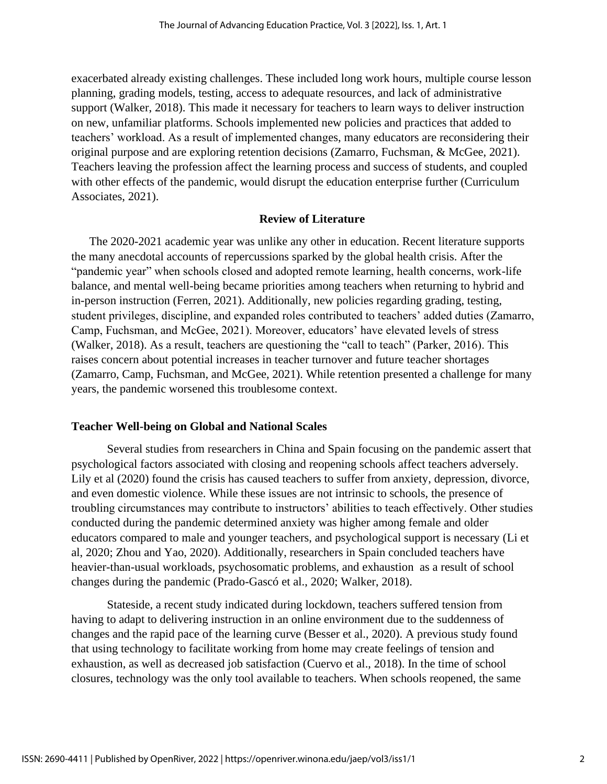exacerbated already existing challenges. These included long work hours, multiple course lesson planning, grading models, testing, access to adequate resources, and lack of administrative support (Walker, 2018). This made it necessary for teachers to learn ways to deliver instruction on new, unfamiliar platforms. Schools implemented new policies and practices that added to teachers' workload. As a result of implemented changes, many educators are reconsidering their original purpose and are exploring retention decisions (Zamarro, Fuchsman, & McGee, 2021). Teachers leaving the profession affect the learning process and success of students, and coupled with other effects of the pandemic, would disrupt the education enterprise further (Curriculum Associates, 2021).

#### **Review of Literature**

The 2020-2021 academic year was unlike any other in education. Recent literature supports the many anecdotal accounts of repercussions sparked by the global health crisis. After the "pandemic year" when schools closed and adopted remote learning, health concerns, work-life balance, and mental well-being became priorities among teachers when returning to hybrid and in-person instruction (Ferren, 2021). Additionally, new policies regarding grading, testing, student privileges, discipline, and expanded roles contributed to teachers' added duties (Zamarro, Camp, Fuchsman, and McGee, 2021). Moreover, educators' have elevated levels of stress (Walker, 2018). [As](https://www.rand.org/pubs/research_reports/RRA1121-2.html) a result, teachers are questioning the "call to teach" (Parker, 2016). This raises concern about potential increases in teacher turnover and future teacher shortages (Zamarro, Camp, Fuchsman, and McGee, 2021). While retention presented a challenge for many years, the pandemic worsened this troublesome context.

#### **Teacher Well-being on Global and National Scales**

Several studies from researchers in China and Spain focusing on the pandemic assert that psychological factors associated with closing and reopening schools affect teachers adversely. Lily et al (2020) found the crisis has caused teachers to suffer from anxiety, depression, divorce, and even domestic violence. While these issues are not intrinsic to schools, the presence of troubling circumstances may contribute to instructors' abilities to teach effectively. Other studies conducted during the pandemic determined anxiety was higher among female and older educators compared to male and younger teachers, and psychological support is necessary [\(Li et](https://www.frontiersin.org/articles/10.3389/fpsyg.2020.620718/full#B36)  [al, 2020;](https://www.frontiersin.org/articles/10.3389/fpsyg.2020.620718/full#B36) [Zhou and Yao, 2020\)](https://www.frontiersin.org/articles/10.3389/fpsyg.2020.620718/full#B70). Additionally, researchers in Spain concluded teachers have heavier-than-usual workloads, psychosomatic problems, and exhaustion as a result of school changes during the pandemic [\(Prado-Gascó et al., 2020;](https://www.frontiersin.org/articles/10.3389/fpsyg.2020.620718/full#B46) Walker, 2018).

Stateside, a recent study indicated during lockdown, teachers suffered tension from having to adapt to delivering instruction in an online environment due to the suddenness of changes and the rapid pace of the learning curve [\(Besser et al., 2020\)](https://www.frontiersin.org/articles/10.3389/fpsyg.2020.620718/full#B8). A previous study found that using technology to facilitate working from home may create feelings of tension and exhaustion, as well as decreased job satisfaction [\(Cuervo et al., 2018\)](https://www.frontiersin.org/articles/10.3389/fpsyg.2020.620718/full#B16). In the time of school closures, technology was the only tool available to teachers. When schools reopened, the same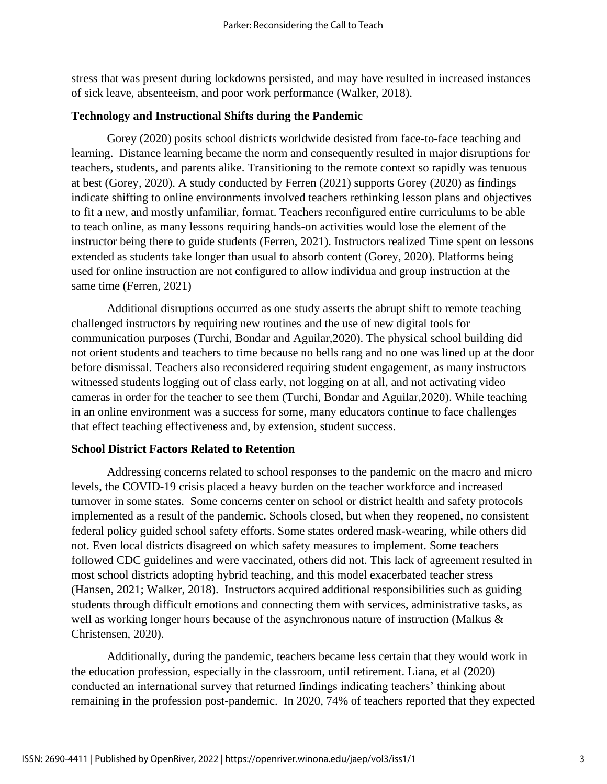stress that was present during lockdowns persisted, and may have resulted in increased instances of sick leave, absenteeism, and poor work performance (Walker, 2018).

## **Technology and Instructional Shifts during the Pandemic**

Gorey (2020) posits school districts worldwide desisted from face-to-face teaching and learning. Distance learning became the norm and consequently resulted in major disruptions for teachers, students, and parents alike. Transitioning to the remote context so rapidly was tenuous at best (Gorey, 2020). A study conducted by Ferren (2021) supports Gorey (2020) as findings indicate shifting to online environments involved teachers rethinking lesson plans and objectives to fit a new, and mostly unfamiliar, format. Teachers reconfigured entire curriculums to be able to teach online, as many lessons requiring hands-on activities would lose the element of the instructor being there to guide students (Ferren, 2021). Instructors realized Time spent on lessons extended as students take longer than usual to absorb content (Gorey, 2020). Platforms being used for online instruction are not configured to allow individua and group instruction at the same time (Ferren, 2021)

Additional disruptions occurred as one study asserts the abrupt shift to remote teaching challenged instructors by requiring new routines and the use of new digital tools for communication purposes (Turchi, Bondar and Aguilar,2020). The physical school building did not orient students and teachers to time because no bells rang and no one was lined up at the door before dismissal. Teachers also reconsidered requiring student engagement, as many instructors witnessed students logging out of class early, not logging on at all, and not activating video cameras in order for the teacher to see them (Turchi, Bondar and Aguilar,2020). While teaching in an online environment was a success for some, many educators continue to face challenges that effect teaching effectiveness and, by extension, student success.

# **School District Factors Related to Retention**

Addressing concerns related to school responses to the pandemic on the macro and micro levels, the COVID-19 crisis placed a heavy burden on the teacher workforce and increased turnover in some states. Some concerns center on school or district health and safety protocols implemented as a result of the pandemic. Schools closed, but when they reopened, no consistent federal policy guided school safety efforts. Some states ordered mask-wearing, while others did not. Even local districts disagreed on which safety measures to implement. Some teachers followed CDC guidelines and were vaccinated, others did not. This lack of agreement resulted in most school districts adopting hybrid teaching, and this model exacerbated teacher stress (Hansen, 2021; Walker, 2018). Instructors acquired additional responsibilities such as guiding students through difficult emotions and connecting them with services, administrative tasks, as well as working longer hours because of the asynchronous nature of instruction (Malkus & Christensen, 2020).

Additionally, during the pandemic, teachers became less certain that they would work in the education profession, especially in the classroom, until retirement. Liana, et al (2020) conducted an international survey that returned findings indicating teachers' thinking about remaining in the profession post-pandemic. In 2020, 74% of teachers reported that they expected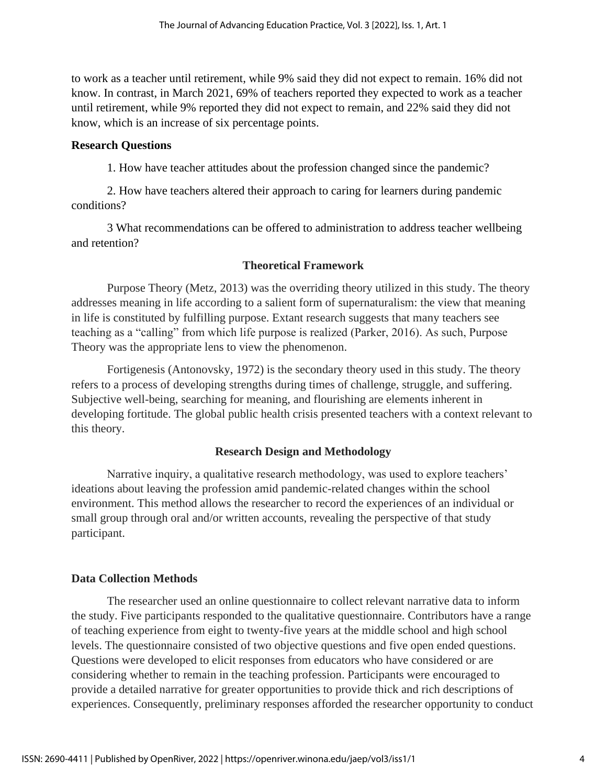to work as a teacher until retirement, while 9% said they did not expect to remain. 16% did not know. In contrast, in March 2021, 69% of teachers reported they expected to work as a teacher until retirement, while 9% reported they did not expect to remain, and 22% said they did not know, which is an increase of six percentage points.

## **Research Questions**

1. How have teacher attitudes about the profession changed since the pandemic?

2. How have teachers altered their approach to caring for learners during pandemic conditions?

3 What recommendations can be offered to administration to address teacher wellbeing and retention?

## **Theoretical Framework**

Purpose Theory (Metz, 2013) was the overriding theory utilized in this study. The theory addresses meaning in life according to a salient form of supernaturalism: the view that meaning in life is constituted by fulfilling purpose. Extant research suggests that many teachers see teaching as a "calling" from which life purpose is realized (Parker, 2016). As such, Purpose Theory was the appropriate lens to view the phenomenon.

Fortigenesis (Antonovsky, 1972) is the secondary theory used in this study. The theory refers to a process of developing strengths during times of challenge, struggle, and suffering. Subjective well-being, searching for meaning, and flourishing are elements inherent in developing fortitude. The global public health crisis presented teachers with a context relevant to this theory.

# **Research Design and Methodology**

Narrative inquiry, a qualitative research methodology, was used to explore teachers' ideations about leaving the profession amid pandemic-related changes within the school environment. This method allows the researcher to record the experiences of an individual or small group through oral and/or written accounts, revealing the perspective of that study participant.

# **Data Collection Methods**

The researcher used an online questionnaire to collect relevant narrative data to inform the study. Five participants responded to the qualitative questionnaire. Contributors have a range of teaching experience from eight to twenty-five years at the middle school and high school levels. The questionnaire consisted of two objective questions and five open ended questions. Questions were developed to elicit responses from educators who have considered or are considering whether to remain in the teaching profession. Participants were encouraged to provide a detailed narrative for greater opportunities to provide thick and rich descriptions of experiences. Consequently, preliminary responses afforded the researcher opportunity to conduct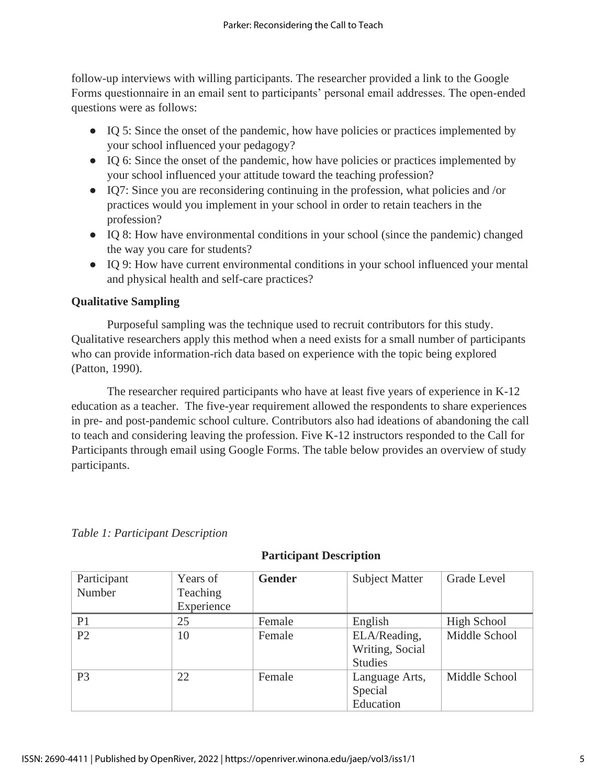follow-up interviews with willing participants. The researcher provided a link to the Google Forms questionnaire in an email sent to participants' personal email addresses. The open-ended questions were as follows:

- IQ 5: Since the onset of the pandemic, how have policies or practices implemented by your school influenced your pedagogy?
- IQ 6: Since the onset of the pandemic, how have policies or practices implemented by your school influenced your attitude toward the teaching profession?
- IQ7: Since you are reconsidering continuing in the profession, what policies and /or practices would you implement in your school in order to retain teachers in the profession?
- IQ 8: How have environmental conditions in your school (since the pandemic) changed the way you care for students?
- IQ 9: How have current environmental conditions in your school influenced your mental and physical health and self-care practices?

# **Qualitative Sampling**

Purposeful sampling was the technique used to recruit contributors for this study. Qualitative researchers apply this method when a need exists for a small number of participants who can provide information-rich data based on experience with the topic being explored (Patton, 1990).

The researcher required participants who have at least five years of experience in K-12 education as a teacher. The five-year requirement allowed the respondents to share experiences in pre- and post-pandemic school culture. Contributors also had ideations of abandoning the call to teach and considering leaving the profession. Five K-12 instructors responded to the Call for Participants through email using Google Forms. The table below provides an overview of study participants.

| Participant    | Years of   | <b>Gender</b> | <b>Subject Matter</b> | Grade Level   |
|----------------|------------|---------------|-----------------------|---------------|
| Number         | Teaching   |               |                       |               |
|                | Experience |               |                       |               |
| P <sub>1</sub> | 25         | Female        | English               | High School   |
| P <sub>2</sub> | 10         | Female        | ELA/Reading,          | Middle School |
|                |            |               | Writing, Social       |               |
|                |            |               | <b>Studies</b>        |               |
| P <sub>3</sub> | 22         | Female        | Language Arts,        | Middle School |
|                |            |               | Special               |               |
|                |            |               | Education             |               |

# *Table 1: Participant Description*

# **Participant Description**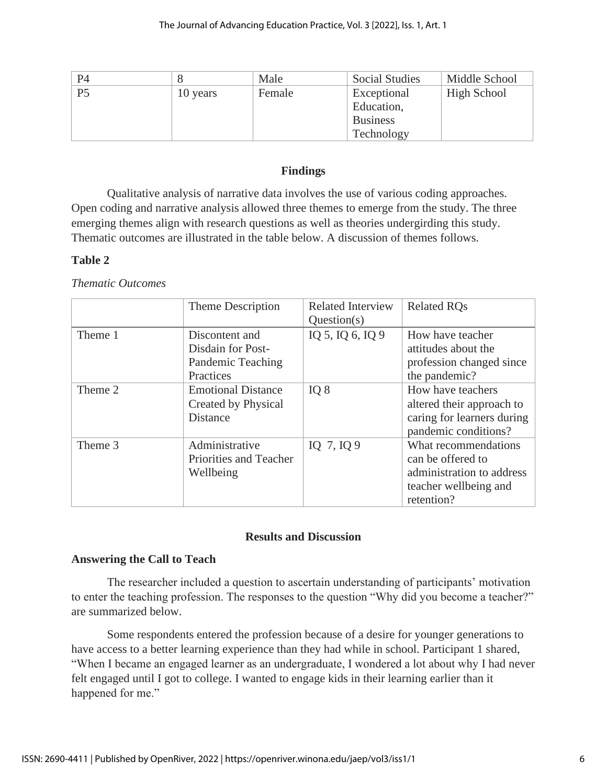| P4             |          | Male   | Social Studies  | Middle School |
|----------------|----------|--------|-----------------|---------------|
| P <sub>5</sub> | 10 years | Female | Exceptional     | High School   |
|                |          |        | Education,      |               |
|                |          |        | <b>Business</b> |               |
|                |          |        | Technology      |               |

# **Findings**

Qualitative analysis of narrative data involves the use of various coding approaches. Open coding and narrative analysis allowed three themes to emerge from the study. The three emerging themes align with research questions as well as theories undergirding this study. Thematic outcomes are illustrated in the table below. A discussion of themes follows.

# **Table 2**

*Thematic Outcomes*

|         | Theme Description                                                     | <b>Related Interview</b><br>Question(s) | <b>Related ROs</b>                                                                                            |
|---------|-----------------------------------------------------------------------|-----------------------------------------|---------------------------------------------------------------------------------------------------------------|
| Theme 1 | Discontent and<br>Disdain for Post-<br>Pandemic Teaching<br>Practices | IQ 5, IQ 6, IQ 9                        | How have teacher<br>attitudes about the<br>profession changed since<br>the pandemic?                          |
| Theme 2 | <b>Emotional Distance</b><br>Created by Physical<br><b>Distance</b>   | IQ 8                                    | How have teachers<br>altered their approach to<br>caring for learners during<br>pandemic conditions?          |
| Theme 3 | Administrative<br>Priorities and Teacher<br>Wellbeing                 | IQ $7, IQ$ 9                            | What recommendations<br>can be offered to<br>administration to address<br>teacher wellbeing and<br>retention? |

# **Results and Discussion**

# **Answering the Call to Teach**

The researcher included a question to ascertain understanding of participants' motivation to enter the teaching profession. The responses to the question "Why did you become a teacher?" are summarized below.

Some respondents entered the profession because of a desire for younger generations to have access to a better learning experience than they had while in school. Participant 1 shared, "When I became an engaged learner as an undergraduate, I wondered a lot about why I had never felt engaged until I got to college. I wanted to engage kids in their learning earlier than it happened for me."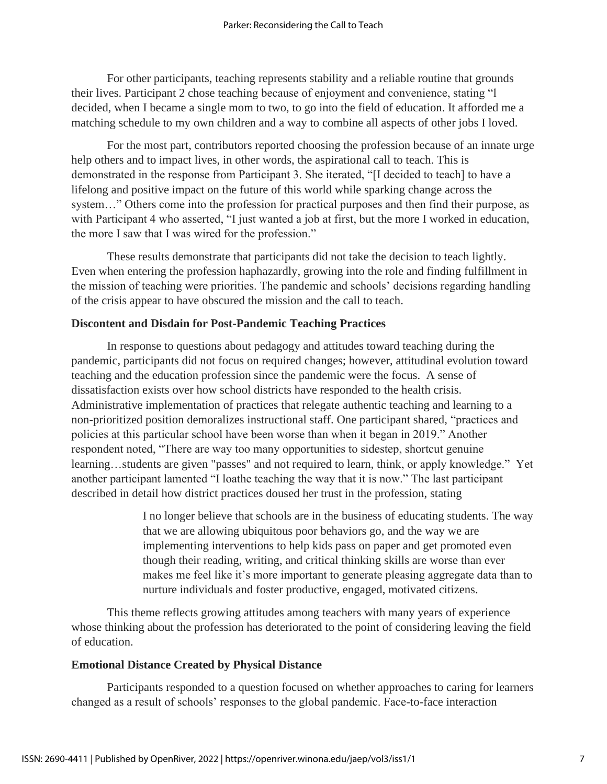For other participants, teaching represents stability and a reliable routine that grounds their lives. Participant 2 chose teaching because of enjoyment and convenience, stating "l decided, when I became a single mom to two, to go into the field of education. It afforded me a matching schedule to my own children and a way to combine all aspects of other jobs I loved.

For the most part, contributors reported choosing the profession because of an innate urge help others and to impact lives, in other words, the aspirational call to teach. This is demonstrated in the response from Participant 3. She iterated, "[I decided to teach] to have a lifelong and positive impact on the future of this world while sparking change across the system…" Others come into the profession for practical purposes and then find their purpose, as with Participant 4 who asserted, "I just wanted a job at first, but the more I worked in education, the more I saw that I was wired for the profession."

These results demonstrate that participants did not take the decision to teach lightly. Even when entering the profession haphazardly, growing into the role and finding fulfillment in the mission of teaching were priorities. The pandemic and schools' decisions regarding handling of the crisis appear to have obscured the mission and the call to teach.

## **Discontent and Disdain for Post-Pandemic Teaching Practices**

In response to questions about pedagogy and attitudes toward teaching during the pandemic, participants did not focus on required changes; however, attitudinal evolution toward teaching and the education profession since the pandemic were the focus. A sense of dissatisfaction exists over how school districts have responded to the health crisis. Administrative implementation of practices that relegate authentic teaching and learning to a non-prioritized position demoralizes instructional staff. One participant shared, "practices and policies at this particular school have been worse than when it began in 2019." Another respondent noted, "There are way too many opportunities to sidestep, shortcut genuine learning…students are given "passes" and not required to learn, think, or apply knowledge." Yet another participant lamented "I loathe teaching the way that it is now." The last participant described in detail how district practices doused her trust in the profession, stating

> I no longer believe that schools are in the business of educating students. The way that we are allowing ubiquitous poor behaviors go, and the way we are implementing interventions to help kids pass on paper and get promoted even though their reading, writing, and critical thinking skills are worse than ever makes me feel like it's more important to generate pleasing aggregate data than to nurture individuals and foster productive, engaged, motivated citizens.

This theme reflects growing attitudes among teachers with many years of experience whose thinking about the profession has deteriorated to the point of considering leaving the field of education.

#### **Emotional Distance Created by Physical Distance**

Participants responded to a question focused on whether approaches to caring for learners changed as a result of schools' responses to the global pandemic. Face-to-face interaction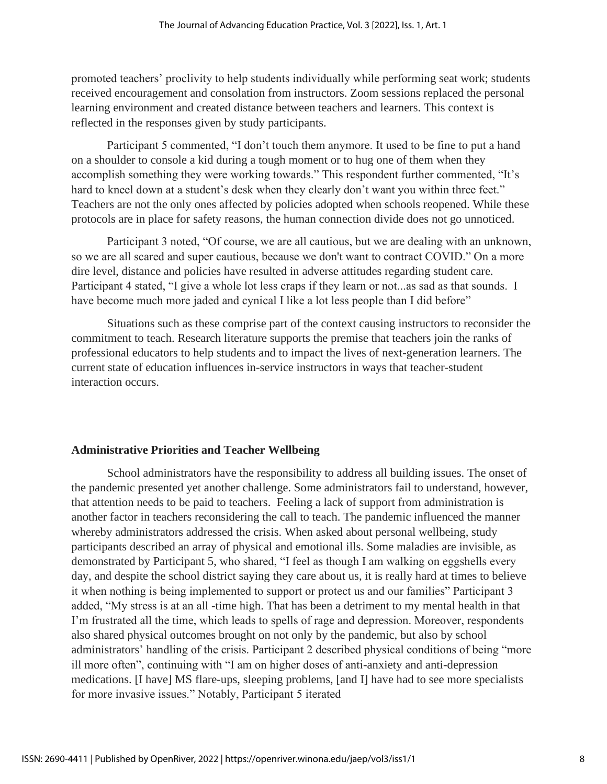promoted teachers' proclivity to help students individually while performing seat work; students received encouragement and consolation from instructors. Zoom sessions replaced the personal learning environment and created distance between teachers and learners. This context is reflected in the responses given by study participants.

Participant 5 commented, "I don't touch them anymore. It used to be fine to put a hand on a shoulder to console a kid during a tough moment or to hug one of them when they accomplish something they were working towards." This respondent further commented, "It's hard to kneel down at a student's desk when they clearly don't want you within three feet." Teachers are not the only ones affected by policies adopted when schools reopened. While these protocols are in place for safety reasons, the human connection divide does not go unnoticed.

Participant 3 noted, "Of course, we are all cautious, but we are dealing with an unknown, so we are all scared and super cautious, because we don't want to contract COVID." On a more dire level, distance and policies have resulted in adverse attitudes regarding student care. Participant 4 stated, "I give a whole lot less craps if they learn or not...as sad as that sounds. I have become much more jaded and cynical I like a lot less people than I did before"

Situations such as these comprise part of the context causing instructors to reconsider the commitment to teach. Research literature supports the premise that teachers join the ranks of professional educators to help students and to impact the lives of next-generation learners. The current state of education influences in-service instructors in ways that teacher-student interaction occurs.

#### **Administrative Priorities and Teacher Wellbeing**

School administrators have the responsibility to address all building issues. The onset of the pandemic presented yet another challenge. Some administrators fail to understand, however, that attention needs to be paid to teachers. Feeling a lack of support from administration is another factor in teachers reconsidering the call to teach. The pandemic influenced the manner whereby administrators addressed the crisis. When asked about personal wellbeing, study participants described an array of physical and emotional ills. Some maladies are invisible, as demonstrated by Participant 5, who shared, "I feel as though I am walking on eggshells every day, and despite the school district saying they care about us, it is really hard at times to believe it when nothing is being implemented to support or protect us and our families" Participant 3 added, "My stress is at an all -time high. That has been a detriment to my mental health in that I'm frustrated all the time, which leads to spells of rage and depression. Moreover, respondents also shared physical outcomes brought on not only by the pandemic, but also by school administrators' handling of the crisis. Participant 2 described physical conditions of being "more ill more often", continuing with "I am on higher doses of anti-anxiety and anti-depression medications. [I have] MS flare-ups, sleeping problems, [and I] have had to see more specialists for more invasive issues." Notably, Participant 5 iterated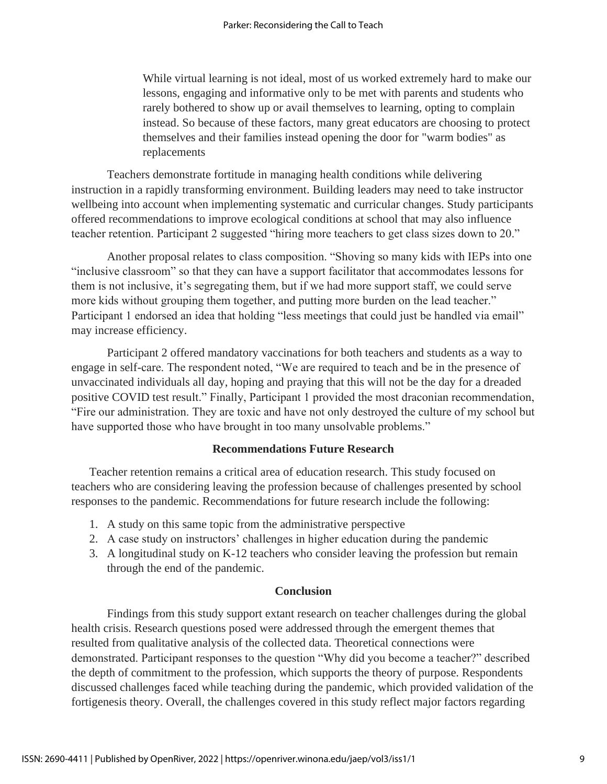While virtual learning is not ideal, most of us worked extremely hard to make our lessons, engaging and informative only to be met with parents and students who rarely bothered to show up or avail themselves to learning, opting to complain instead. So because of these factors, many great educators are choosing to protect themselves and their families instead opening the door for "warm bodies" as replacements

Teachers demonstrate fortitude in managing health conditions while delivering instruction in a rapidly transforming environment. Building leaders may need to take instructor wellbeing into account when implementing systematic and curricular changes. Study participants offered recommendations to improve ecological conditions at school that may also influence teacher retention. Participant 2 suggested "hiring more teachers to get class sizes down to 20."

Another proposal relates to class composition. "Shoving so many kids with IEPs into one "inclusive classroom" so that they can have a support facilitator that accommodates lessons for them is not inclusive, it's segregating them, but if we had more support staff, we could serve more kids without grouping them together, and putting more burden on the lead teacher." Participant 1 endorsed an idea that holding "less meetings that could just be handled via email" may increase efficiency.

Participant 2 offered mandatory vaccinations for both teachers and students as a way to engage in self-care. The respondent noted, "We are required to teach and be in the presence of unvaccinated individuals all day, hoping and praying that this will not be the day for a dreaded positive COVID test result." Finally, Participant 1 provided the most draconian recommendation, "Fire our administration. They are toxic and have not only destroyed the culture of my school but have supported those who have brought in too many unsolvable problems."

#### **Recommendations Future Research**

Teacher retention remains a critical area of education research. This study focused on teachers who are considering leaving the profession because of challenges presented by school responses to the pandemic. Recommendations for future research include the following:

- 1. A study on this same topic from the administrative perspective
- 2. A case study on instructors' challenges in higher education during the pandemic
- 3. A longitudinal study on K-12 teachers who consider leaving the profession but remain through the end of the pandemic.

#### **Conclusion**

Findings from this study support extant research on teacher challenges during the global health crisis. Research questions posed were addressed through the emergent themes that resulted from qualitative analysis of the collected data. Theoretical connections were demonstrated. Participant responses to the question "Why did you become a teacher?" described the depth of commitment to the profession, which supports the theory of purpose. Respondents discussed challenges faced while teaching during the pandemic, which provided validation of the fortigenesis theory. Overall, the challenges covered in this study reflect major factors regarding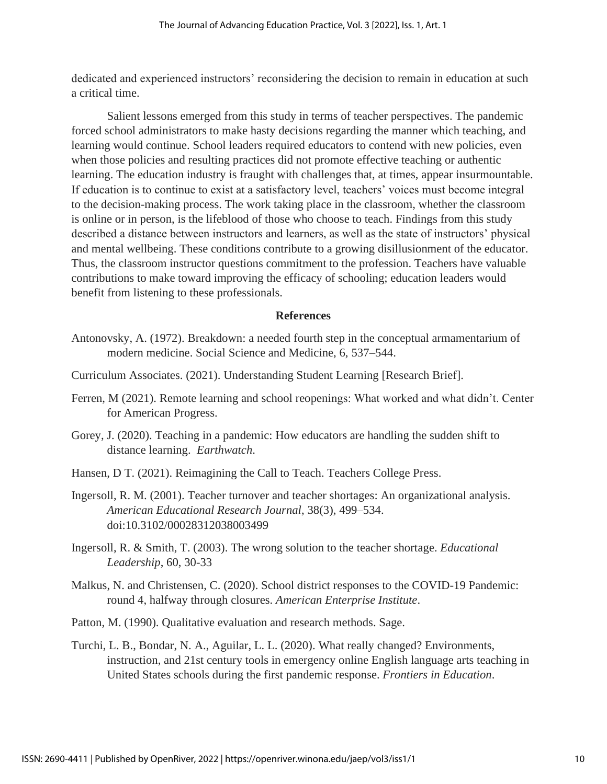dedicated and experienced instructors' reconsidering the decision to remain in education at such a critical time.

Salient lessons emerged from this study in terms of teacher perspectives. The pandemic forced school administrators to make hasty decisions regarding the manner which teaching, and learning would continue. School leaders required educators to contend with new policies, even when those policies and resulting practices did not promote effective teaching or authentic learning. The education industry is fraught with challenges that, at times, appear insurmountable. If education is to continue to exist at a satisfactory level, teachers' voices must become integral to the decision-making process. The work taking place in the classroom, whether the classroom is online or in person, is the lifeblood of those who choose to teach. Findings from this study described a distance between instructors and learners, as well as the state of instructors' physical and mental wellbeing. These conditions contribute to a growing disillusionment of the educator. Thus, the classroom instructor questions commitment to the profession. Teachers have valuable contributions to make toward improving the efficacy of schooling; education leaders would benefit from listening to these professionals.

#### **References**

- Antonovsky, A. (1972). Breakdown: a needed fourth step in the conceptual armamentarium of modern medicine. Social Science and Medicine, 6, 537–544.
- Curriculum Associates. (2021). Understanding Student Learning [Research Brief].
- Ferren, M (2021). Remote learning and school reopenings: What worked and what didn't. Center for American Progress.
- Gorey, J. (2020). Teaching in a pandemic: How educators are handling the sudden shift to distance learning. *Earthwatch*.
- Hansen, D T. (2021). Reimagining the Call to Teach. Teachers College Press.
- Ingersoll, R. M. (2001). Teacher turnover and teacher shortages: An organizational analysis. *American Educational Research Journal*, 38(3), 499–534. doi:10.3102/00028312038003499
- Ingersoll, R. & Smith, T. (2003). The wrong solution to the teacher shortage. *Educational Leadership*, 60, 30-33
- Malkus, N. and Christensen, C. (2020). School district responses to the COVID-19 Pandemic: round 4, halfway through closures. *American Enterprise Institute*.
- Patton, M. (1990). Qualitative evaluation and research methods. Sage.
- Turchi, L. B., Bondar, N. A., Aguilar, L. L. (2020). What really changed? Environments, instruction, and 21st century tools in emergency online English language arts teaching in United States schools during the first pandemic response. *Frontiers in Education*.